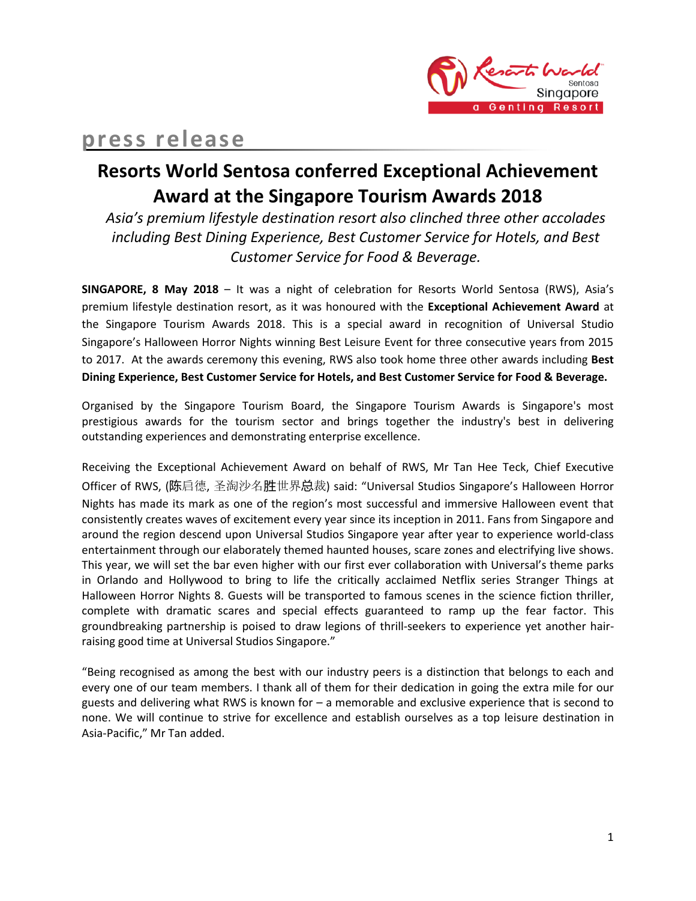

# **press release**

# **Resorts World Sentosa conferred Exceptional Achievement Award at the Singapore Tourism Awards 2018**

*Asia's premium lifestyle destination resort also clinched three other accolades including Best Dining Experience, Best Customer Service for Hotels, and Best Customer Service for Food & Beverage.*

**SINGAPORE, 8 May 2018** – It was a night of celebration for Resorts World Sentosa (RWS), Asia's premium lifestyle destination resort, as it was honoured with the **Exceptional Achievement Award** at the Singapore Tourism Awards 2018. This is a special award in recognition of Universal Studio Singapore's Halloween Horror Nights winning Best Leisure Event for three consecutive years from 2015 to 2017. At the awards ceremony this evening, RWS also took home three other awards including **Best Dining Experience, Best Customer Service for Hotels, and Best Customer Service for Food & Beverage.**

Organised by the Singapore Tourism Board, the Singapore Tourism Awards is Singapore's most prestigious awards for the tourism sector and brings together the industry's best in delivering outstanding experiences and demonstrating enterprise excellence.

Receiving the Exceptional Achievement Award on behalf of RWS, Mr Tan Hee Teck, Chief Executive Officer of RWS, (陈启德, 圣淘沙名胜世界总裁) said: "Universal Studios Singapore's Halloween Horror Nights has made its mark as one of the region's most successful and immersive Halloween event that consistently creates waves of excitement every year since its inception in 2011. Fans from Singapore and around the region descend upon Universal Studios Singapore year after year to experience world-class entertainment through our elaborately themed haunted houses, scare zones and electrifying live shows. This year, we will set the bar even higher with our first ever collaboration with Universal's theme parks in Orlando and Hollywood to bring to life the critically acclaimed Netflix series Stranger Things at Halloween Horror Nights 8. Guests will be transported to famous scenes in the science fiction thriller, complete with dramatic scares and special effects guaranteed to ramp up the fear factor. This groundbreaking partnership is poised to draw legions of thrill-seekers to experience yet another hairraising good time at Universal Studios Singapore."

"Being recognised as among the best with our industry peers is a distinction that belongs to each and every one of our team members. I thank all of them for their dedication in going the extra mile for our guests and delivering what RWS is known for – a memorable and exclusive experience that is second to none. We will continue to strive for excellence and establish ourselves as a top leisure destination in Asia-Pacific," Mr Tan added.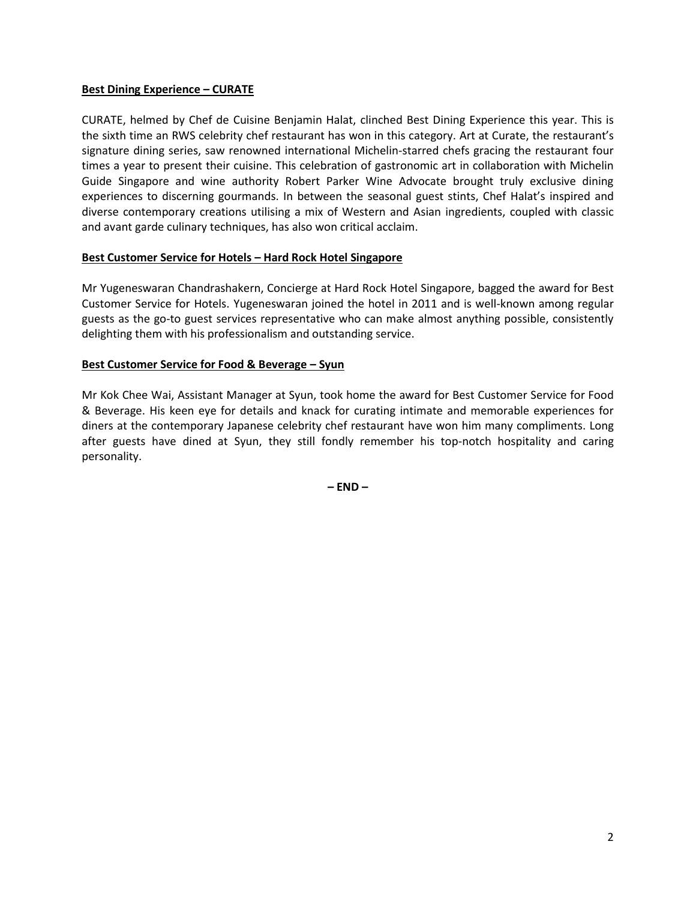### **Best Dining Experience – CURATE**

CURATE, helmed by Chef de Cuisine Benjamin Halat, clinched Best Dining Experience this year. This is the sixth time an RWS celebrity chef restaurant has won in this category. Art at Curate, the restaurant's signature dining series, saw renowned international Michelin-starred chefs gracing the restaurant four times a year to present their cuisine. This celebration of gastronomic art in collaboration with Michelin Guide Singapore and wine authority Robert Parker Wine Advocate brought truly exclusive dining experiences to discerning gourmands. In between the seasonal guest stints, Chef Halat's inspired and diverse contemporary creations utilising a mix of Western and Asian ingredients, coupled with classic and avant garde culinary techniques, has also won critical acclaim.

### **Best Customer Service for Hotels – Hard Rock Hotel Singapore**

Mr Yugeneswaran Chandrashakern, Concierge at Hard Rock Hotel Singapore, bagged the award for Best Customer Service for Hotels. Yugeneswaran joined the hotel in 2011 and is well-known among regular guests as the go-to guest services representative who can make almost anything possible, consistently delighting them with his professionalism and outstanding service.

### **Best Customer Service for Food & Beverage – Syun**

Mr Kok Chee Wai, Assistant Manager at Syun, took home the award for Best Customer Service for Food & Beverage. His keen eye for details and knack for curating intimate and memorable experiences for diners at the contemporary Japanese celebrity chef restaurant have won him many compliments. Long after guests have dined at Syun, they still fondly remember his top-notch hospitality and caring personality.

**– END –**